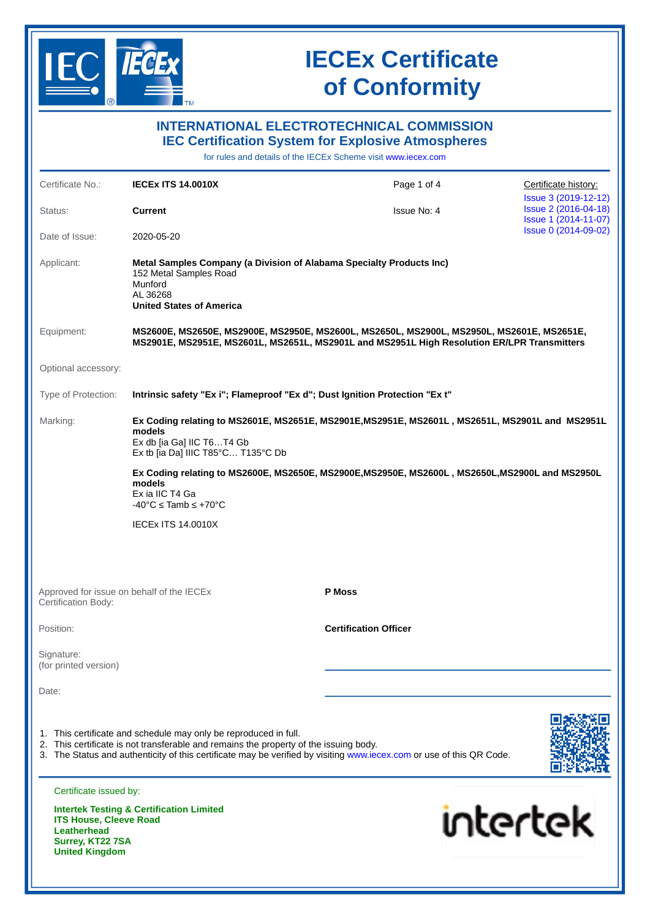

**United Kingdom**

# **IECEx Certificate of Conformity**

|                                                                                                                                                                                          |                                                                                                                                                           | <b>INTERNATIONAL ELECTROTECHNICAL COMMISSION</b><br><b>IEC Certification System for Explosive Atmospheres</b>                                                                            |                                              |
|------------------------------------------------------------------------------------------------------------------------------------------------------------------------------------------|-----------------------------------------------------------------------------------------------------------------------------------------------------------|------------------------------------------------------------------------------------------------------------------------------------------------------------------------------------------|----------------------------------------------|
|                                                                                                                                                                                          |                                                                                                                                                           | for rules and details of the IECEx Scheme visit www.iecex.com                                                                                                                            |                                              |
| Certificate No.:                                                                                                                                                                         | <b>IECEX ITS 14.0010X</b>                                                                                                                                 | Page 1 of 4                                                                                                                                                                              | Certificate history:<br>Issue 3 (2019-12-12) |
| Status:                                                                                                                                                                                  | <b>Current</b>                                                                                                                                            | Issue No: 4                                                                                                                                                                              | Issue 2 (2016-04-18)<br>Issue 1 (2014-11-07) |
| Date of Issue:                                                                                                                                                                           | 2020-05-20                                                                                                                                                |                                                                                                                                                                                          | Issue 0 (2014-09-02)                         |
| Applicant:                                                                                                                                                                               | 152 Metal Samples Road<br>Munford<br>AL 36268<br><b>United States of America</b>                                                                          | Metal Samples Company (a Division of Alabama Specialty Products Inc)                                                                                                                     |                                              |
| Equipment:                                                                                                                                                                               |                                                                                                                                                           | MS2600E, MS2650E, MS2900E, MS2950E, MS2600L, MS2650L, MS2900L, MS2950L, MS2601E, MS2651E,<br>MS2901E, MS2951E, MS2601L, MS2651L, MS2901L and MS2951L High Resolution ER/LPR Transmitters |                                              |
| Optional accessory:                                                                                                                                                                      |                                                                                                                                                           |                                                                                                                                                                                          |                                              |
| Type of Protection:                                                                                                                                                                      |                                                                                                                                                           | Intrinsic safety "Ex i"; Flameproof "Ex d"; Dust Ignition Protection "Ex t"                                                                                                              |                                              |
| Marking:<br>Ex Coding relating to MS2601E, MS2651E, MS2901E, MS2951E, MS2601L, MS2651L, MS2901L and MS2951L<br>models<br>Ex db [ia Ga] IIC T6T4 Gb<br>Ex tb [ia Da] IIIC T85°C T135°C Db |                                                                                                                                                           |                                                                                                                                                                                          |                                              |
|                                                                                                                                                                                          | models<br>Ex ia IIC T4 Ga<br>$-40^{\circ}$ C $\leq$ Tamb $\leq$ +70 $^{\circ}$ C                                                                          | Ex Coding relating to MS2600E, MS2650E, MS2900E, MS2950E, MS2600L, MS2650L, MS2900L and MS2950L                                                                                          |                                              |
|                                                                                                                                                                                          | <b>IECEX ITS 14.0010X</b>                                                                                                                                 |                                                                                                                                                                                          |                                              |
| <b>Certification Body:</b>                                                                                                                                                               | Approved for issue on behalf of the IECEx                                                                                                                 | <b>P</b> Moss                                                                                                                                                                            |                                              |
| Position:                                                                                                                                                                                |                                                                                                                                                           | <b>Certification Officer</b>                                                                                                                                                             |                                              |
| Signature:<br>(for printed version)                                                                                                                                                      |                                                                                                                                                           |                                                                                                                                                                                          |                                              |
| Date:                                                                                                                                                                                    |                                                                                                                                                           |                                                                                                                                                                                          |                                              |
|                                                                                                                                                                                          | 1. This certificate and schedule may only be reproduced in full.<br>2. This certificate is not transferable and remains the property of the issuing body. | 3. The Status and authenticity of this certificate may be verified by visiting www.iecex.com or use of this QR Code.                                                                     |                                              |
| Certificate issued by:                                                                                                                                                                   |                                                                                                                                                           |                                                                                                                                                                                          |                                              |
| <b>ITS House, Cleeve Road</b><br><b>Leatherhead</b><br>Surrey, KT22 7SA                                                                                                                  | <b>Intertek Testing &amp; Certification Limited</b>                                                                                                       |                                                                                                                                                                                          | <b>intertek</b>                              |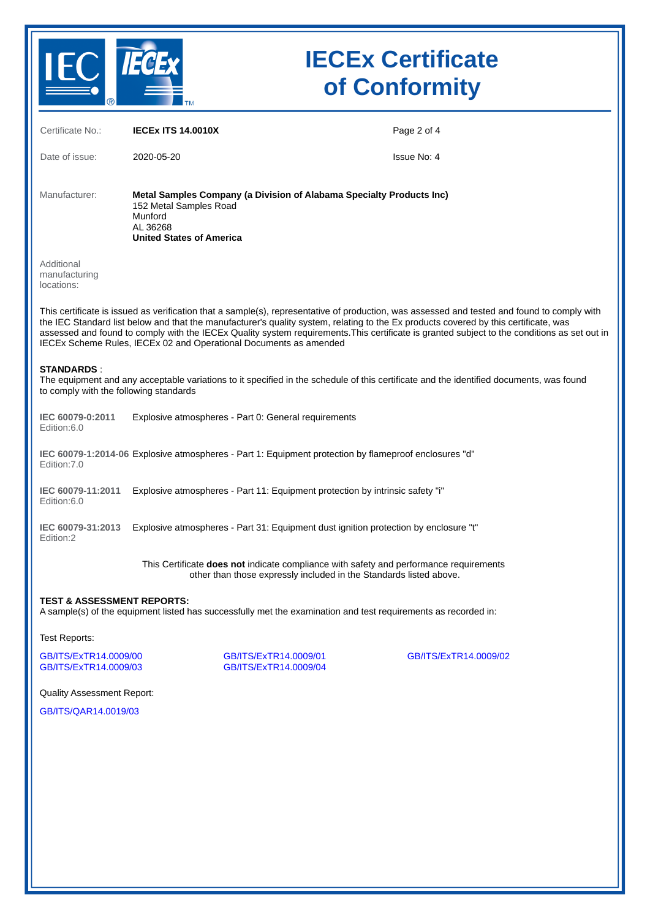

# **IECEx Certificate of Conformity**

| Certificate No.:                                            | <b>IECEX ITS 14.0010X</b>                                                                                                                                                                                                                                                                                                                                                                                                                                                                                | Page 2 of 4 |
|-------------------------------------------------------------|----------------------------------------------------------------------------------------------------------------------------------------------------------------------------------------------------------------------------------------------------------------------------------------------------------------------------------------------------------------------------------------------------------------------------------------------------------------------------------------------------------|-------------|
| Date of issue:                                              | 2020-05-20                                                                                                                                                                                                                                                                                                                                                                                                                                                                                               | Issue No: 4 |
| Manufacturer:                                               | Metal Samples Company (a Division of Alabama Specialty Products Inc)<br>152 Metal Samples Road<br>Munford<br>AL 36268<br><b>United States of America</b>                                                                                                                                                                                                                                                                                                                                                 |             |
| Additional<br>manufacturing<br>locations:                   |                                                                                                                                                                                                                                                                                                                                                                                                                                                                                                          |             |
|                                                             | This certificate is issued as verification that a sample(s), representative of production, was assessed and tested and found to comply with<br>the IEC Standard list below and that the manufacturer's quality system, relating to the Ex products covered by this certificate, was<br>assessed and found to comply with the IECEx Quality system requirements. This certificate is granted subject to the conditions as set out in<br>IECEx Scheme Rules, IECEx 02 and Operational Documents as amended |             |
| <b>STANDARDS:</b><br>to comply with the following standards | The equipment and any acceptable variations to it specified in the schedule of this certificate and the identified documents, was found                                                                                                                                                                                                                                                                                                                                                                  |             |
| IEC 60079-0:2011<br>Edition:6.0                             | Explosive atmospheres - Part 0: General requirements                                                                                                                                                                                                                                                                                                                                                                                                                                                     |             |
| Edition: 7.0                                                | IEC 60079-1:2014-06 Explosive atmospheres - Part 1: Equipment protection by flameproof enclosures "d"                                                                                                                                                                                                                                                                                                                                                                                                    |             |
| IEC 60079-11:2011<br>Edition:6.0                            | Explosive atmospheres - Part 11: Equipment protection by intrinsic safety "i"                                                                                                                                                                                                                                                                                                                                                                                                                            |             |
| IEC 60079-31:2013<br>Edition:2                              | Explosive atmospheres - Part 31: Equipment dust ignition protection by enclosure "t"                                                                                                                                                                                                                                                                                                                                                                                                                     |             |
|                                                             | This Certificate does not indicate compliance with safety and performance requirements<br>other than those expressly included in the Standards listed above.                                                                                                                                                                                                                                                                                                                                             |             |
| <b>TEST &amp; ASSESSMENT REPORTS:</b>                       | A sample(s) of the equipment listed has successfully met the examination and test requirements as recorded in:                                                                                                                                                                                                                                                                                                                                                                                           |             |
| Test Reports:                                               |                                                                                                                                                                                                                                                                                                                                                                                                                                                                                                          |             |

[GB/ITS/ExTR14.0009/03](https://www.iecex-certs.com/deliverables/REPORT/61806/view) [GB/ITS/ExTR14.0009/04](https://www.iecex-certs.com/deliverables/REPORT/65761/view)

[GB/ITS/ExTR14.0009/00](https://www.iecex-certs.com/deliverables/REPORT/23773/view) [GB/ITS/ExTR14.0009/01](https://www.iecex-certs.com/deliverables/REPORT/23774/view) [GB/ITS/ExTR14.0009/02](https://www.iecex-certs.com/deliverables/REPORT/23775/view)

Quality Assessment Report:

[GB/ITS/QAR14.0019/03](https://www.iecex-certs.com/deliverables/REPORT/49798/view)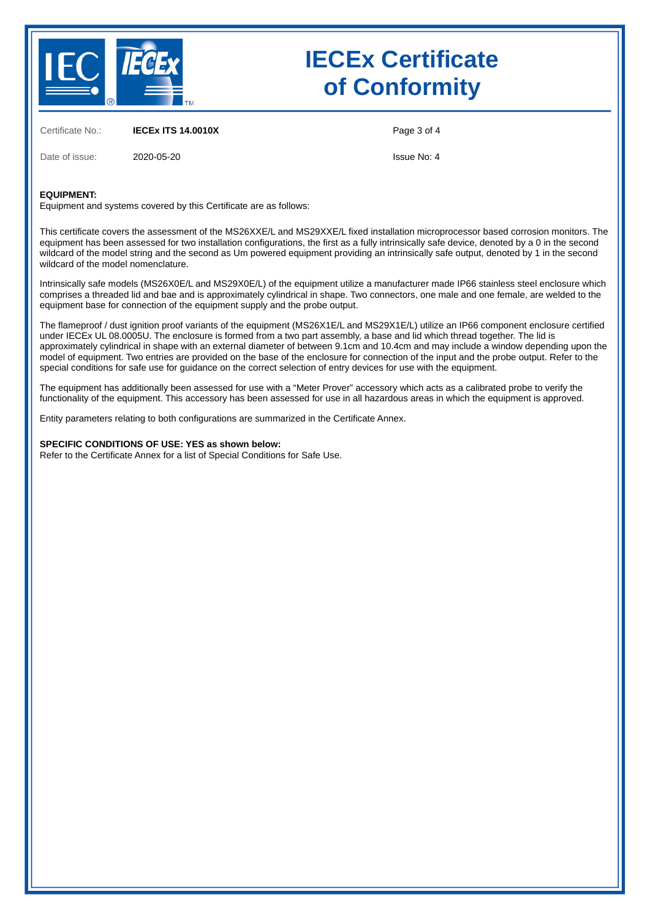

# **IECEx Certificate of Conformity**

Certificate No.: **IECEx ITS 14.0010X**

Date of issue: 2020-05-20

Page 3 of 4

Issue No: 4

#### **EQUIPMENT:**

Equipment and systems covered by this Certificate are as follows:

This certificate covers the assessment of the MS26XXE/L and MS29XXE/L fixed installation microprocessor based corrosion monitors. The equipment has been assessed for two installation configurations, the first as a fully intrinsically safe device, denoted by a 0 in the second wildcard of the model string and the second as Um powered equipment providing an intrinsically safe output, denoted by 1 in the second wildcard of the model nomenclature.

Intrinsically safe models (MS26X0E/L and MS29X0E/L) of the equipment utilize a manufacturer made IP66 stainless steel enclosure which comprises a threaded lid and bae and is approximately cylindrical in shape. Two connectors, one male and one female, are welded to the equipment base for connection of the equipment supply and the probe output.

The flameproof / dust ignition proof variants of the equipment (MS26X1E/L and MS29X1E/L) utilize an IP66 component enclosure certified under IECEx UL 08.0005U. The enclosure is formed from a two part assembly, a base and lid which thread together. The lid is approximately cylindrical in shape with an external diameter of between 9.1cm and 10.4cm and may include a window depending upon the model of equipment. Two entries are provided on the base of the enclosure for connection of the input and the probe output. Refer to the special conditions for safe use for guidance on the correct selection of entry devices for use with the equipment.

The equipment has additionally been assessed for use with a "Meter Prover" accessory which acts as a calibrated probe to verify the functionality of the equipment. This accessory has been assessed for use in all hazardous areas in which the equipment is approved.

Entity parameters relating to both configurations are summarized in the Certificate Annex.

#### **SPECIFIC CONDITIONS OF USE: YES as shown below:**

Refer to the Certificate Annex for a list of Special Conditions for Safe Use.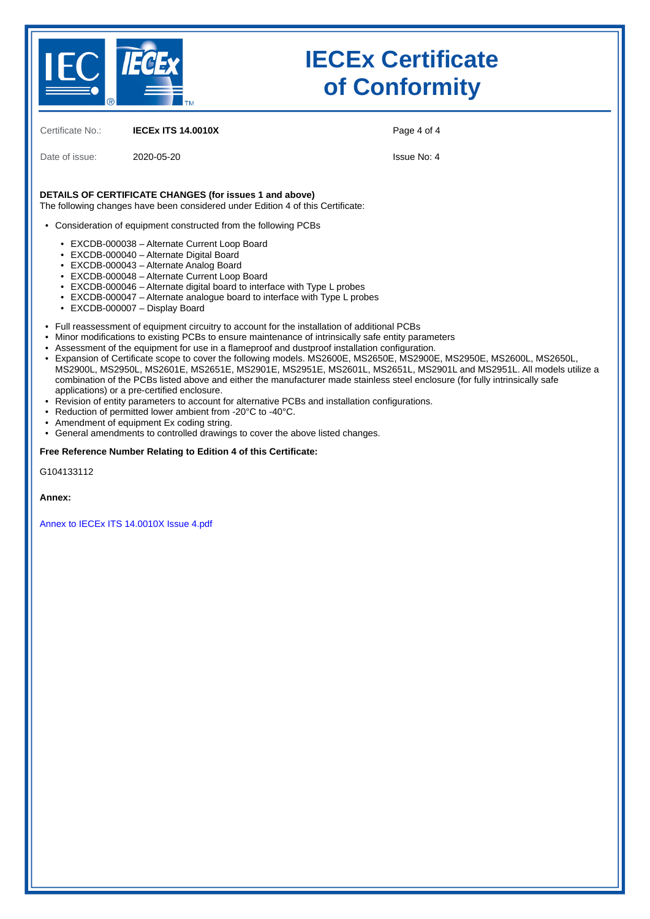

# **IECEx Certificate of Conformity**

Certificate No.: **IECEx ITS 14.0010X**

Date of issue: 2020-05-20

Page 4 of 4

Issue No: 4

### **DETAILS OF CERTIFICATE CHANGES (for issues 1 and above)**

The following changes have been considered under Edition 4 of this Certificate:

• Consideration of equipment constructed from the following PCBs

- EXCDB-000038 Alternate Current Loop Board
- EXCDB-000040 Alternate Digital Board
- EXCDB-000043 Alternate Analog Board
- EXCDB-000048 Alternate Current Loop Board
- EXCDB-000046 Alternate digital board to interface with Type L probes
- EXCDB-000047 Alternate analogue board to interface with Type L probes
- EXCDB-000007 Display Board
- Full reassessment of equipment circuitry to account for the installation of additional PCBs
	- Minor modifications to existing PCBs to ensure maintenance of intrinsically safe entity parameters
- • Assessment of the equipment for use in a flameproof and dustproof installation configuration.
- Expansion of Certificate scope to cover the following models. MS2600E, MS2650E, MS2900E, MS2950E, MS2600L, MS2650L, MS2900L, MS2950L, MS2601E, MS2651E, MS2901E, MS2951E, MS2601L, MS2651L, MS2901L and MS2951L. All models utilize a combination of the PCBs listed above and either the manufacturer made stainless steel enclosure (for fully intrinsically safe applications) or a pre-certified enclosure.
- Revision of entity parameters to account for alternative PCBs and installation configurations.
- Reduction of permitted lower ambient from -20°C to -40°C.
- Amendment of equipment Ex coding string.
- General amendments to controlled drawings to cover the above listed changes.

#### **Free Reference Number Relating to Edition 4 of this Certificate:**

G104133112

**Annex:**

[Annex to IECEx ITS 14.0010X Issue 4.pdf](https://www.iecex-certs.com/deliverables/CERT/47781/view)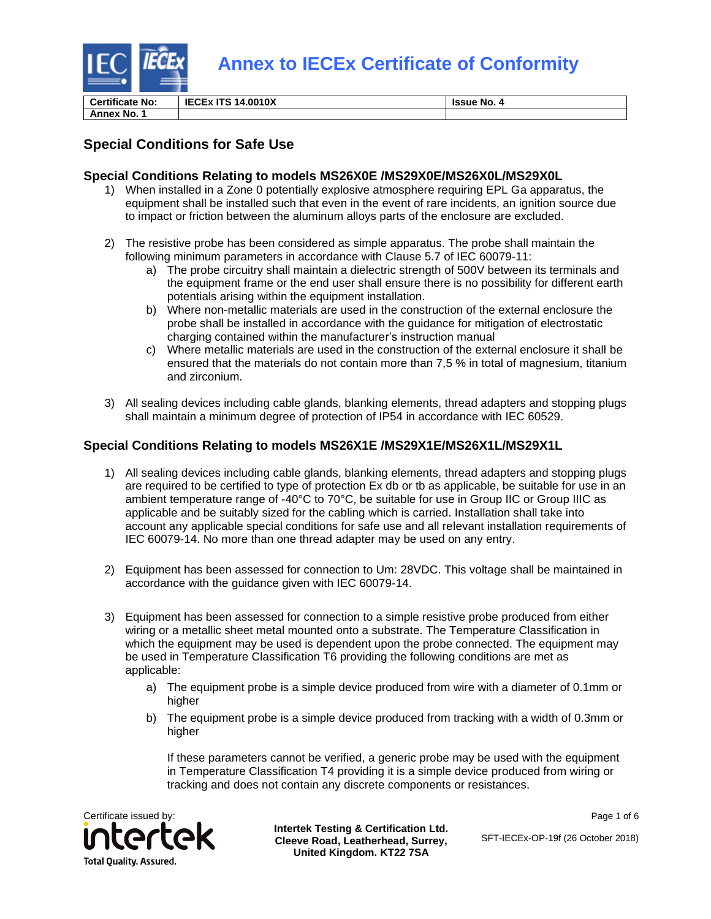

**Certificate No: IECEx ITS 14.0010X Issue No. 4**

**Annex No. 1**

### **Special Conditions for Safe Use**

### **Special Conditions Relating to models MS26X0E /MS29X0E/MS26X0L/MS29X0L**

- 1) When installed in a Zone 0 potentially explosive atmosphere requiring EPL Ga apparatus, the equipment shall be installed such that even in the event of rare incidents, an ignition source due to impact or friction between the aluminum alloys parts of the enclosure are excluded.
- 2) The resistive probe has been considered as simple apparatus. The probe shall maintain the following minimum parameters in accordance with Clause 5.7 of IEC 60079-11:
	- a) The probe circuitry shall maintain a dielectric strength of 500V between its terminals and the equipment frame or the end user shall ensure there is no possibility for different earth potentials arising within the equipment installation.
	- b) Where non-metallic materials are used in the construction of the external enclosure the probe shall be installed in accordance with the guidance for mitigation of electrostatic charging contained within the manufacturer's instruction manual
	- c) Where metallic materials are used in the construction of the external enclosure it shall be ensured that the materials do not contain more than 7,5 % in total of magnesium, titanium and zirconium.
- 3) All sealing devices including cable glands, blanking elements, thread adapters and stopping plugs shall maintain a minimum degree of protection of IP54 in accordance with IEC 60529.

### **Special Conditions Relating to models MS26X1E /MS29X1E/MS26X1L/MS29X1L**

- 1) All sealing devices including cable glands, blanking elements, thread adapters and stopping plugs are required to be certified to type of protection Ex db or tb as applicable, be suitable for use in an ambient temperature range of -40°C to 70°C, be suitable for use in Group IIC or Group IIIC as applicable and be suitably sized for the cabling which is carried. Installation shall take into account any applicable special conditions for safe use and all relevant installation requirements of IEC 60079-14. No more than one thread adapter may be used on any entry.
- 2) Equipment has been assessed for connection to Um: 28VDC. This voltage shall be maintained in accordance with the guidance given with IEC 60079-14.
- 3) Equipment has been assessed for connection to a simple resistive probe produced from either wiring or a metallic sheet metal mounted onto a substrate. The Temperature Classification in which the equipment may be used is dependent upon the probe connected. The equipment may be used in Temperature Classification T6 providing the following conditions are met as applicable:
	- a) The equipment probe is a simple device produced from wire with a diameter of 0.1mm or higher
	- b) The equipment probe is a simple device produced from tracking with a width of 0.3mm or higher

If these parameters cannot be verified, a generic probe may be used with the equipment in Temperature Classification T4 providing it is a simple device produced from wiring or tracking and does not contain any discrete components or resistances.



**Intertek Testing & Certification Ltd. Cleeve Road, Leatherhead, Surrey, United Kingdom. KT22 7SA**

Page 1 of 6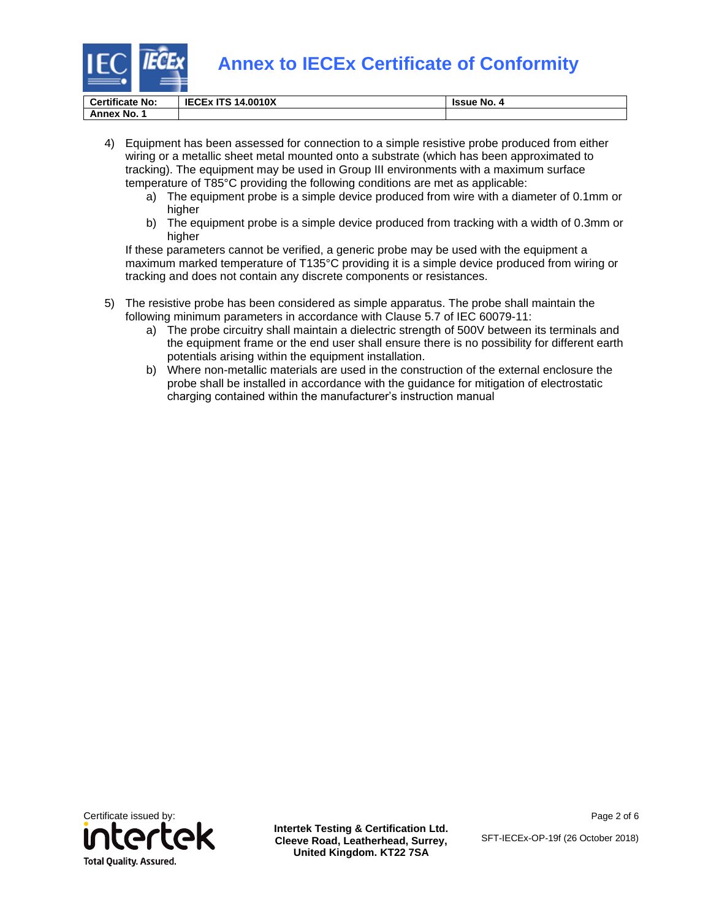

| <b>Certificate No:</b> | <b>IECEX ITS 14,0010X</b> | <b>Issue No.</b> |
|------------------------|---------------------------|------------------|
| Annex No.              |                           |                  |

4) Equipment has been assessed for connection to a simple resistive probe produced from either wiring or a metallic sheet metal mounted onto a substrate (which has been approximated to tracking). The equipment may be used in Group III environments with a maximum surface temperature of T85°C providing the following conditions are met as applicable:

- a) The equipment probe is a simple device produced from wire with a diameter of 0.1mm or higher
- b) The equipment probe is a simple device produced from tracking with a width of 0.3mm or higher

If these parameters cannot be verified, a generic probe may be used with the equipment a maximum marked temperature of T135°C providing it is a simple device produced from wiring or tracking and does not contain any discrete components or resistances.

- 5) The resistive probe has been considered as simple apparatus. The probe shall maintain the following minimum parameters in accordance with Clause 5.7 of IEC 60079-11:
	- a) The probe circuitry shall maintain a dielectric strength of 500V between its terminals and the equipment frame or the end user shall ensure there is no possibility for different earth potentials arising within the equipment installation.
	- b) Where non-metallic materials are used in the construction of the external enclosure the probe shall be installed in accordance with the guidance for mitigation of electrostatic charging contained within the manufacturer's instruction manual



**Intertek Testing & Certification Ltd. Cleeve Road, Leatherhead, Surrey, United Kingdom. KT22 7SA**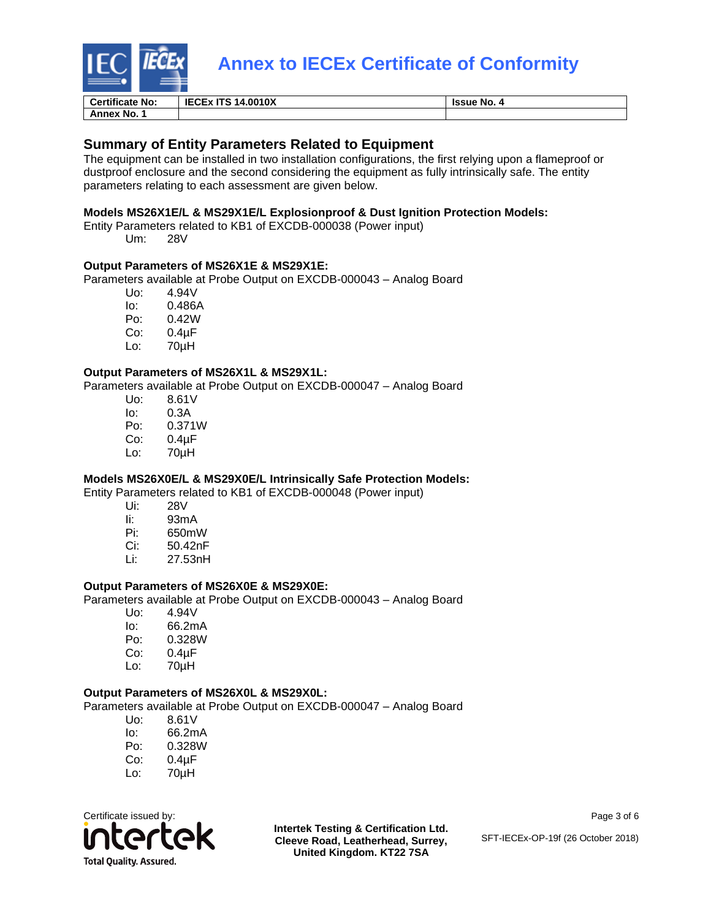

| <b>Certificate No:</b> | ITS 14.0010X<br>IECEX | Issue No. |
|------------------------|-----------------------|-----------|
| Annex No.,             |                       |           |

### **Summary of Entity Parameters Related to Equipment**

The equipment can be installed in two installation configurations, the first relying upon a flameproof or dustproof enclosure and the second considering the equipment as fully intrinsically safe. The entity parameters relating to each assessment are given below.

#### **Models MS26X1E/L & MS29X1E/L Explosionproof & Dust Ignition Protection Models:**

Entity Parameters related to KB1 of EXCDB-000038 (Power input) Um: 28V

### **Output Parameters of MS26X1E & MS29X1E:**

Parameters available at Probe Output on EXCDB-000043 – Analog Board

- Uo: 4.94V Io: 0.486A Po: 0.42W Co: 0.4µF
- Lo: 70µH

#### **Output Parameters of MS26X1L & MS29X1L:**

Parameters available at Probe Output on EXCDB-000047 – Analog Board

| Uo: | 8.61V  |
|-----|--------|
| lo: | 0.3A   |
| Po: | 0.371W |
| Co: | 0.4µF  |
| Lo: | 70µH   |

### **Models MS26X0E/L & MS29X0E/L Intrinsically Safe Protection Models:**

Entity Parameters related to KB1 of EXCDB-000048 (Power input)

- Ui: 28V
- li: 93mA<br>Pi: 650m\
- Pi: 650mW
- Ci: 50.42nF
- Li: 27.53nH

### **Output Parameters of MS26X0E & MS29X0E:**

Parameters available at Probe Output on EXCDB-000043 – Analog Board

- Uo: 4.94V
- lo: 66.2mA<br>Po: 0.328W
- 0.328W
- Co: 0.4µF
- Lo: 70µH

### **Output Parameters of MS26X0L & MS29X0L:**

Parameters available at Probe Output on EXCDB-000047 – Analog Board

Uo: 8.61V lo: 66.2mA<br>Po: 0.328W 0.328W Co: 0.4µF Lo: 70µH



**Intertek Testing & Certification Ltd. Cleeve Road, Leatherhead, Surrey, United Kingdom. KT22 7SA**

Page 3 of 6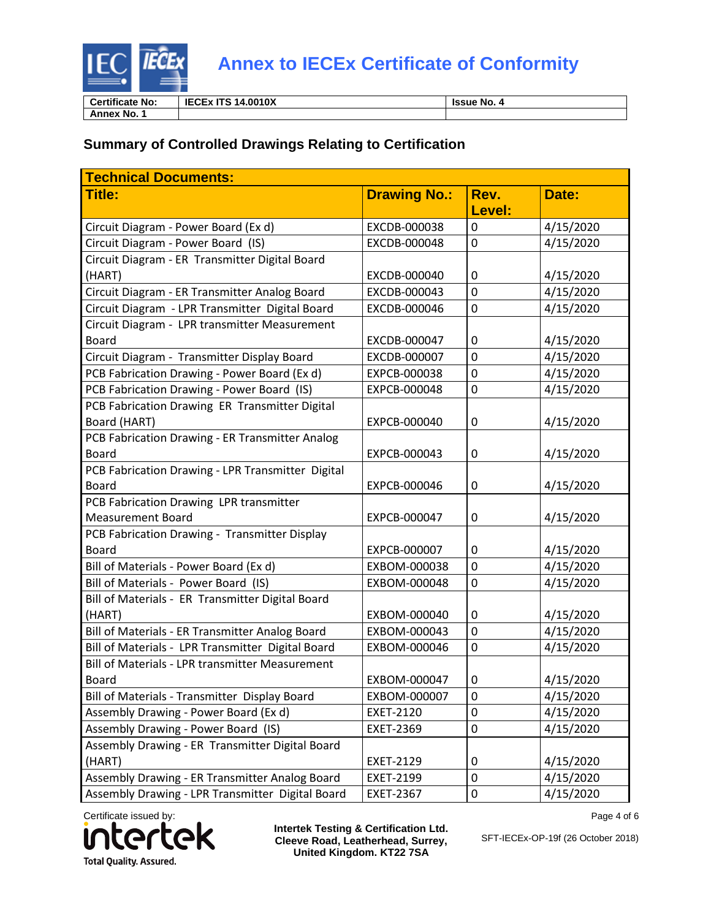

**Certificate No: IECEx ITS 14.0010X Issue No. 4 Annex No. 1**

### **Summary of Controlled Drawings Relating to Certification**

| <b>Technical Documents:</b>                            |                     |                |           |  |
|--------------------------------------------------------|---------------------|----------------|-----------|--|
| <b>Title:</b>                                          | <b>Drawing No.:</b> | Rev.           | Date:     |  |
|                                                        |                     | Level:         |           |  |
| Circuit Diagram - Power Board (Ex d)                   | EXCDB-000038        | 0              | 4/15/2020 |  |
| Circuit Diagram - Power Board (IS)                     | EXCDB-000048        | $\overline{0}$ | 4/15/2020 |  |
| Circuit Diagram - ER Transmitter Digital Board         |                     |                |           |  |
| (HART)                                                 | EXCDB-000040        | 0              | 4/15/2020 |  |
| Circuit Diagram - ER Transmitter Analog Board          | EXCDB-000043        | $\overline{0}$ | 4/15/2020 |  |
| Circuit Diagram - LPR Transmitter Digital Board        | EXCDB-000046        | 0              | 4/15/2020 |  |
| Circuit Diagram - LPR transmitter Measurement          |                     |                |           |  |
| <b>Board</b>                                           | EXCDB-000047        | 0              | 4/15/2020 |  |
| Circuit Diagram - Transmitter Display Board            | EXCDB-000007        | 0              | 4/15/2020 |  |
| PCB Fabrication Drawing - Power Board (Ex d)           | EXPCB-000038        | 0              | 4/15/2020 |  |
| PCB Fabrication Drawing - Power Board (IS)             | EXPCB-000048        | $\mathbf 0$    | 4/15/2020 |  |
| PCB Fabrication Drawing ER Transmitter Digital         |                     |                |           |  |
| Board (HART)                                           | EXPCB-000040        | 0              | 4/15/2020 |  |
| PCB Fabrication Drawing - ER Transmitter Analog        |                     |                |           |  |
| <b>Board</b>                                           | EXPCB-000043        | 0              | 4/15/2020 |  |
| PCB Fabrication Drawing - LPR Transmitter Digital      |                     |                |           |  |
| <b>Board</b>                                           | EXPCB-000046        | 0              | 4/15/2020 |  |
| PCB Fabrication Drawing LPR transmitter                |                     |                |           |  |
| <b>Measurement Board</b>                               | EXPCB-000047        | 0              | 4/15/2020 |  |
| PCB Fabrication Drawing - Transmitter Display          |                     |                |           |  |
| <b>Board</b>                                           | EXPCB-000007        | 0              | 4/15/2020 |  |
| Bill of Materials - Power Board (Ex d)                 | EXBOM-000038        | 0              | 4/15/2020 |  |
| Bill of Materials - Power Board (IS)                   | EXBOM-000048        | 0              | 4/15/2020 |  |
| Bill of Materials - ER Transmitter Digital Board       |                     |                |           |  |
| (HART)                                                 | EXBOM-000040        | 0              | 4/15/2020 |  |
| Bill of Materials - ER Transmitter Analog Board        | EXBOM-000043        | 0              | 4/15/2020 |  |
| Bill of Materials - LPR Transmitter Digital Board      | EXBOM-000046        | 0              | 4/15/2020 |  |
| <b>Bill of Materials - LPR transmitter Measurement</b> |                     |                |           |  |
| <b>Board</b>                                           | EXBOM-000047        | 0              | 4/15/2020 |  |
| Bill of Materials - Transmitter Display Board          | EXBOM-000007        | 0              | 4/15/2020 |  |
| Assembly Drawing - Power Board (Ex d)                  | EXET-2120           | 0              | 4/15/2020 |  |
| Assembly Drawing - Power Board (IS)                    | EXET-2369           | 0              | 4/15/2020 |  |
| Assembly Drawing - ER Transmitter Digital Board        |                     |                |           |  |
| (HART)                                                 | EXET-2129           | 0              | 4/15/2020 |  |
| Assembly Drawing - ER Transmitter Analog Board         | EXET-2199           | 0              | 4/15/2020 |  |
| Assembly Drawing - LPR Transmitter Digital Board       | <b>EXET-2367</b>    | 0              | 4/15/2020 |  |

Certificate issued by: ЭK **Total Quality. Assured.** 

**Intertek Testing & Certification Ltd. Cleeve Road, Leatherhead, Surrey, United Kingdom. KT22 7SA**

Page 4 of 6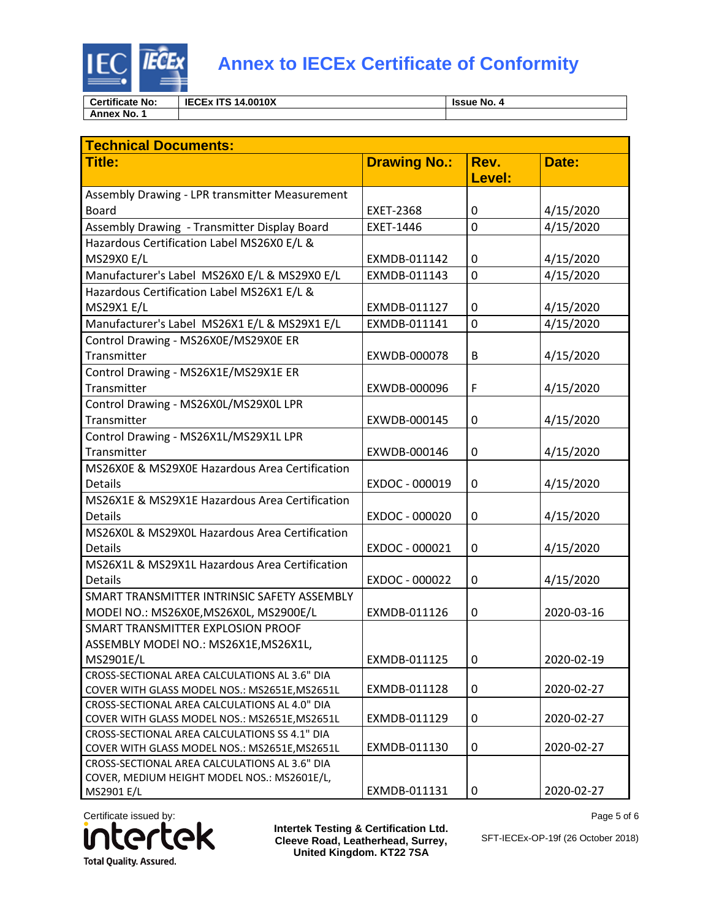

| <b>Certificate No:</b> | 14.0010X<br><b>IECEX ITS</b><br>$-170.44$ | <b>Issue No. 4</b> |
|------------------------|-------------------------------------------|--------------------|
| Annex No.              |                                           |                    |

| <b>Technical Documents:</b>                                                                    |                     |                |            |  |
|------------------------------------------------------------------------------------------------|---------------------|----------------|------------|--|
| <b>Title:</b>                                                                                  | <b>Drawing No.:</b> | Rev.           | Date:      |  |
|                                                                                                |                     | Level:         |            |  |
| Assembly Drawing - LPR transmitter Measurement                                                 |                     |                |            |  |
| <b>Board</b>                                                                                   | <b>EXET-2368</b>    | 0              | 4/15/2020  |  |
| Assembly Drawing - Transmitter Display Board                                                   | EXET-1446           | $\overline{0}$ | 4/15/2020  |  |
| Hazardous Certification Label MS26X0 E/L &                                                     |                     |                |            |  |
| <b>MS29X0 E/L</b>                                                                              | EXMDB-011142        | 0              | 4/15/2020  |  |
| Manufacturer's Label MS26X0 E/L & MS29X0 E/L                                                   | EXMDB-011143        | 0              | 4/15/2020  |  |
| Hazardous Certification Label MS26X1 E/L &                                                     |                     |                |            |  |
| <b>MS29X1 E/L</b>                                                                              | EXMDB-011127        | 0              | 4/15/2020  |  |
| Manufacturer's Label MS26X1 E/L & MS29X1 E/L                                                   | EXMDB-011141        | 0              | 4/15/2020  |  |
| Control Drawing - MS26X0E/MS29X0E ER                                                           |                     |                |            |  |
| Transmitter                                                                                    | EXWDB-000078        | B              | 4/15/2020  |  |
| Control Drawing - MS26X1E/MS29X1E ER                                                           |                     |                |            |  |
| Transmitter                                                                                    | EXWDB-000096        | F              | 4/15/2020  |  |
| Control Drawing - MS26X0L/MS29X0L LPR                                                          |                     |                |            |  |
| Transmitter                                                                                    | EXWDB-000145        | 0              | 4/15/2020  |  |
| Control Drawing - MS26X1L/MS29X1L LPR                                                          |                     |                |            |  |
| Transmitter                                                                                    | EXWDB-000146        | 0              | 4/15/2020  |  |
| MS26X0E & MS29X0E Hazardous Area Certification                                                 |                     |                |            |  |
| <b>Details</b>                                                                                 | EXDOC - 000019      | 0              | 4/15/2020  |  |
| MS26X1E & MS29X1E Hazardous Area Certification                                                 |                     |                |            |  |
| <b>Details</b>                                                                                 | EXDOC - 000020      | 0              | 4/15/2020  |  |
| MS26X0L & MS29X0L Hazardous Area Certification                                                 |                     |                |            |  |
| <b>Details</b>                                                                                 | EXDOC - 000021      | 0              | 4/15/2020  |  |
| MS26X1L & MS29X1L Hazardous Area Certification                                                 |                     |                |            |  |
| <b>Details</b>                                                                                 | EXDOC - 000022      | 0              | 4/15/2020  |  |
| SMART TRANSMITTER INTRINSIC SAFETY ASSEMBLY                                                    |                     |                |            |  |
| MODEI NO.: MS26X0E, MS26X0L, MS2900E/L                                                         | EXMDB-011126        | 0              | 2020-03-16 |  |
| SMART TRANSMITTER EXPLOSION PROOF                                                              |                     |                |            |  |
| ASSEMBLY MODEl NO.: MS26X1E, MS26X1L,                                                          |                     |                |            |  |
| MS2901E/L                                                                                      | EXMDB-011125        | 0              | 2020-02-19 |  |
| CROSS-SECTIONAL AREA CALCULATIONS AL 3.6" DIA                                                  |                     |                |            |  |
| COVER WITH GLASS MODEL NOS.: MS2651E, MS2651L                                                  | EXMDB-011128        | 0              | 2020-02-27 |  |
| CROSS-SECTIONAL AREA CALCULATIONS AL 4.0" DIA                                                  |                     |                |            |  |
| COVER WITH GLASS MODEL NOS.: MS2651E, MS2651L                                                  | EXMDB-011129        | 0              | 2020-02-27 |  |
| CROSS-SECTIONAL AREA CALCULATIONS SS 4.1" DIA                                                  |                     |                |            |  |
| COVER WITH GLASS MODEL NOS.: MS2651E, MS2651L<br>CROSS-SECTIONAL AREA CALCULATIONS AL 3.6" DIA | EXMDB-011130        | 0              | 2020-02-27 |  |
| COVER, MEDIUM HEIGHT MODEL NOS.: MS2601E/L,                                                    |                     |                |            |  |
| MS2901 E/L                                                                                     | EXMDB-011131        | 0              | 2020-02-27 |  |

Certificate issued by: ek U **Total Quality. Assured.** 

**Intertek Testing & Certification Ltd. Cleeve Road, Leatherhead, Surrey, United Kingdom. KT22 7SA**

Page 5 of 6